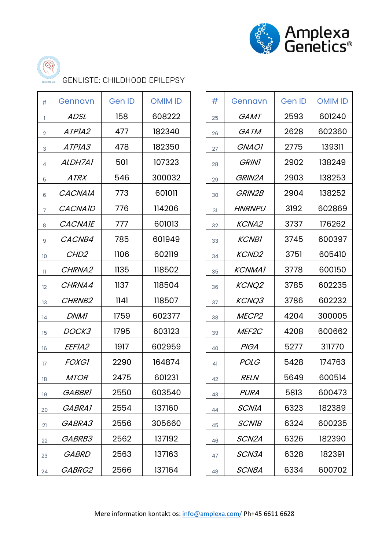



GENLISTE: CHILDHOOD EPILEPSY

| Gennavn            | <b>Gen ID</b> | <b>OMIM ID</b> | #  | Gennavn           | <b>Gen ID</b> | <b>OMIM ID</b> |
|--------------------|---------------|----------------|----|-------------------|---------------|----------------|
| <b>ADSL</b>        | 158           | 608222         | 25 | <b>GAMT</b>       | 2593          | 601240         |
| ATPIA2             | 477           | 182340         | 26 | GATM              | 2628          | 602360         |
| ATPIA3             | 478           | 182350         | 27 | <b>GNAOI</b>      | 2775          | 139311         |
| ALDH7A1            | 501           | 107323         | 28 | <b>GRIN1</b>      | 2902          | 138249         |
| <b>ATRX</b>        | 546           | 300032         | 29 | GRIN2A            | 2903          | 138253         |
| <b>CACNAIA</b>     | 773           | 601011         | 30 | GRIN2B            | 2904          | 138252         |
| <b>CACNAID</b>     | 776           | 114206         | 31 | <b>HNRNPU</b>     | 3192          | 602869         |
| <b>CACNAIE</b>     | 777           | 601013         | 32 | <b>KCNA2</b>      | 3737          | 176262         |
| CACNB4             | 785           | 601949         | 33 | <b>KCNB1</b>      | 3745          | 600397         |
| CHD <sub>2</sub>   | 1106          | 602119         | 34 | <b>KCND2</b>      | 3751          | 605410         |
| CHRNA2             | 1135          | 118502         | 35 | <b>KCNMA1</b>     | 3778          | 600150         |
| CHRNA4             | 1137          | 118504         | 36 | <b>KCNQ2</b>      | 3785          | 602235         |
| CHRNB <sub>2</sub> | 1141          | 118507         | 37 | KCNQ3             | 3786          | 602232         |
| <b>DNM1</b>        | 1759          | 602377         | 38 | MECP <sub>2</sub> | 4204          | 300005         |
| DOCK3              | 1795          | 603123         | 39 | MEF <sub>2C</sub> | 4208          | 600662         |
| EEFIA2             | 1917          | 602959         | 40 | <b>PIGA</b>       | 5277          | 311770         |
| <i>FOXGI</i>       | 2290          | 164874         | 41 | <b>POLG</b>       | 5428          | 174763         |
| <b>MTOR</b>        | 2475          | 601231         | 42 | <b>RELN</b>       | 5649          | 600514         |
| <b>GABBRI</b>      | 2550          | 603540         | 43 | <b>PURA</b>       | 5813          | 600473         |
| GABRA1             | 2554          | 137160         | 44 | <b>SCNIA</b>      | 6323          | 182389         |
| GABRA3             | 2556          | 305660         | 45 | <b>SCNIB</b>      | 6324          | 600235         |
| GABRB3             | 2562          | 137192         | 46 | SCN2A             | 6326          | 182390         |
| GABRD              | 2563          | 137163         | 47 | SCN3A             | 6328          | 182391         |
| GABRG2             | 2566          | 137164         | 48 | SCN8A             | 6334          | 600702         |
|                    |               |                |    |                   |               |                |

| #  | Gennavn             | <b>Gen ID</b> | <b>OMIM ID</b> |  |
|----|---------------------|---------------|----------------|--|
| 25 | <i>GAMT</i>         | 2593          | 601240         |  |
| 26 | <i>GATM</i>         | 2628          | 602360         |  |
| 27 | <i><b>GNAOI</b></i> | 2775          | 139311         |  |
| 28 | <b>GRINI</b>        | 2902          | 138249         |  |
| 29 | <b>GRIN2A</b>       | 2903          | 138253         |  |
| 30 | <i>GRIN2B</i>       | 2904          | 138252         |  |
| 31 | <i>HNRNPU</i>       | 3192          | 602869         |  |
| 32 | <b>KCNA2</b>        | 3737          | 176262         |  |
| 33 | <b>KCNBI</b>        | 3745          | 600397         |  |
| 34 | <b>KCND2</b>        | 3751          | 605410         |  |
| 35 | <b>KCNMA1</b>       | 3778          | 600150         |  |
| 36 | <b>KCNQ2</b>        | 3785          | 602235         |  |
| 37 | <i>KCNQ3</i>        | 3786          | 602232         |  |
| 38 | MECP <sub>2</sub>   | 4204          | 300005         |  |
| 39 | MEF2C               | 4208          | 600662         |  |
| 40 | PIGA                | 5277          | 311770         |  |
| 41 | <i>POLG</i>         | 5428          | 174763         |  |
| 42 | <i>RELN</i>         | 5649          | 600514         |  |
| 43 | PURA                | 5813          | 600473         |  |
| 44 | <i>SCNIA</i>        | 6323          | 182389         |  |
| 45 | <i>SCNIB</i>        | 6324          | 600235         |  |
| 46 | SCN2A               | 6326          | 182390         |  |
| 47 | <i>SCN3A</i>        | 6328          | 182391         |  |
| 48 | <i>SCN8A</i>        | 6334          | 600702         |  |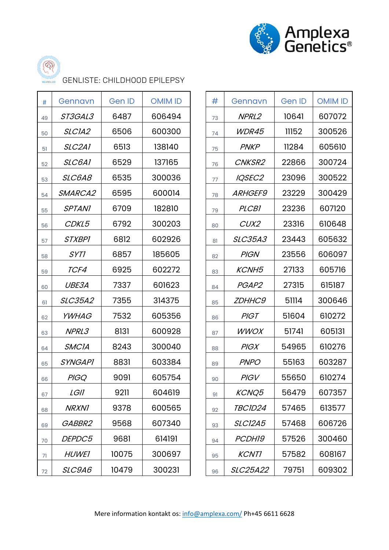



GENLISTE: CHILDHOOD EPILEPSY

| $\#$ | Gennavn             | <b>Gen ID</b> | <b>OMIM ID</b> | #  | Gennavn        | <b>Gen ID</b> | <b>OMIM ID</b> |
|------|---------------------|---------------|----------------|----|----------------|---------------|----------------|
| 49   | ST3GAL3             | 6487          | 606494         | 73 | NPRL2          | 10641         | 607072         |
| 50   | SLCIA2              | 6506          | 600300         | 74 | WDR45          | 11152         | 300526         |
| 51   | SLC2A1              | 6513          | 138140         | 75 | <b>PNKP</b>    | 11284         | 605610         |
| 52   | SLC6A1              | 6529          | 137165         | 76 | CNKSR2         | 22866         | 300724         |
| 53   | SLC6A8              | 6535          | 300036         | 77 | IQSEC2         | 23096         | 300522         |
| 54   | SMARCA2             | 6595          | 600014         | 78 | <b>ARHGEF9</b> | 23229         | 300429         |
| 55   | <b>SPTANI</b>       | 6709          | 182810         | 79 | <b>PLCB1</b>   | 23236         | 607120         |
| 56   | CDKL5               | 6792          | 300203         | 80 | CUX2           | 23316         | 610648         |
| 57   | <b>STXBPI</b>       | 6812          | 602926         | 81 | <b>SLC35A3</b> | 23443         | 605632         |
| 58   | SYT1                | 6857          | 185605         | 82 | <b>PIGN</b>    | 23556         | 606097         |
| 59   | TCF4                | 6925          | 602272         | 83 | <b>KCNH5</b>   | 27133         | 605716         |
| 60   | UBE3A               | 7337          | 601623         | 84 | PGAP2          | 27315         | 615187         |
| 61   | <b>SLC35A2</b>      | 7355          | 314375         | 85 | <b>ZDHHC9</b>  | 51114         | 300646         |
| 62   | <i><b>YWHAG</b></i> | 7532          | 605356         | 86 | <b>PIGT</b>    | 51604         | 610272         |
| 63   | NPRL3               | 8131          | 600928         | 87 | <b>WWOX</b>    | 51741         | 605131         |
| 64   | <b>SMCIA</b>        | 8243          | 300040         | 88 | <b>PIGX</b>    | 54965         | 610276         |
| 65   | <b>SYNGAPI</b>      | 8831          | 603384         | 89 | <b>PNPO</b>    | 55163         | 603287         |
| 66   | <b>PIGQ</b>         | 9091          | 605754         | 90 | <b>PIGV</b>    | 55650         | 610274         |
| 67   | <b>LGII</b>         | 9211          | 604619         | 91 | KCNQ5          | 56479         | 607357         |
| 68   | <b>NRXN1</b>        | 9378          | 600565         | 92 | TBCID24        | 57465         | 613577         |
| 69   | GABBR2              | 9568          | 607340         | 93 | <b>SLC12A5</b> | 57468         | 606726         |
| 70   | DEPDC5              | 9681          | 614191         | 94 | PCDH19         | 57526         | 300460         |
| 71   | <b>HUWEI</b>        | 10075         | 300697         | 95 | <b>KCNTI</b>   | 57582         | 608167         |
| 72   | SLC9A6              | 10479         | 300231         | 96 | SLC25A22       | 79751         | 609302         |
|      |                     |               |                |    |                |               |                |

| #  | Gennavn         | <b>Gen ID</b> | <b>OMIM ID</b> |  |  |
|----|-----------------|---------------|----------------|--|--|
| 73 | NPRL2           | 10641         | 607072         |  |  |
| 74 | <b>WDR45</b>    | 11152         | 300526         |  |  |
| 75 | <b>PNKP</b>     | 11284         | 605610         |  |  |
| 76 | <b>CNKSR2</b>   | 22866         | 300724         |  |  |
| 77 | IQSEC2          | 23096         | 300522         |  |  |
| 78 | <i>ARHGEF9</i>  | 23229         | 300429         |  |  |
| 79 | <b>PLCB1</b>    | 23236         | 607120         |  |  |
| 80 | CUX2            | 23316         | 610648         |  |  |
| 81 | <b>SLC35A3</b>  | 23443         | 605632         |  |  |
| 82 | <b>PIGN</b>     | 23556         | 606097         |  |  |
| 83 | <b>KCNH5</b>    | 27133         | 605716         |  |  |
| 84 | PGAP2           | 27315         | 615187         |  |  |
| 85 | <i>ZDHHC9</i>   | 51114         | 300646         |  |  |
| 86 | PIGT            | 51604         | 610272         |  |  |
| 87 | WWOX            | 51741         | 605131         |  |  |
| 88 | PIGX            | 54965         | 610276         |  |  |
| 89 | <b>PNPO</b>     | 55163         | 603287         |  |  |
| 90 | <b>PIGV</b>     | 55650         | 610274         |  |  |
| 91 | <b>KCNQ5</b>    | 56479         | 607357         |  |  |
| 92 | <i>TBCID24</i>  | 57465         | 613577         |  |  |
| 93 | <i>SLC12A5</i>  | 57468         | 606726         |  |  |
| 94 | <i>PCDH19</i>   | 57526         | 300460         |  |  |
| 95 | <b>KCNTI</b>    | 57582         | 608167         |  |  |
| 96 | <i>SLC25A22</i> | 79751         | 609302         |  |  |